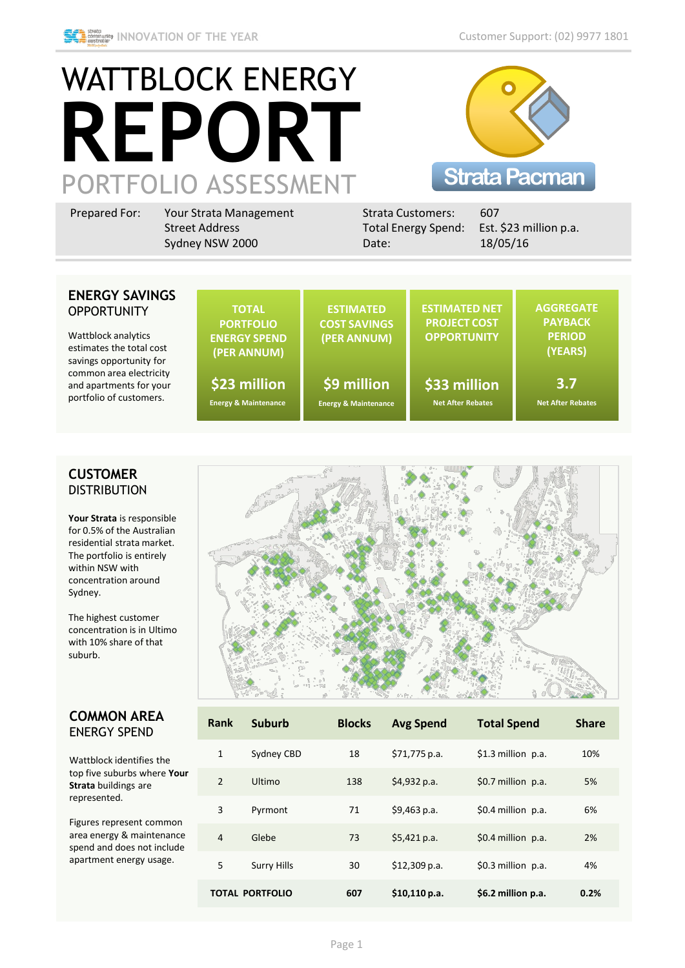

# WATTBLOCK ENERGY **REPORT** PORTFOLIO ASSESSMENT



| Total Energy Spend: Est. \$23 million p.a.<br>18/05/16<br>Sydney NSW 2000<br>Date: | Prepared For: | Your Strata Management<br><b>Street Address</b> | <b>Strata Customers:</b> | 607 |
|------------------------------------------------------------------------------------|---------------|-------------------------------------------------|--------------------------|-----|
|------------------------------------------------------------------------------------|---------------|-------------------------------------------------|--------------------------|-----|

#### **ENERGY SAVING OPPORTUNITY**

Wattblock analytics estimates the total cost savings opportunity for common area electricity and apartments for you portfolio of customers.

| iS | <b>TOTAL</b><br><b>PORTFOLIO</b><br><b>ENERGY SPEND</b><br>(PER ANNUM) | <b>ESTIMATED</b><br><b>COST SAVINGS</b><br>(PER ANNUM) | <b>ESTIMATED NET</b><br><b>PROJECT COST</b><br><b>OPPORTUNITY</b> | <b>AGGREGATE</b><br><b>PAYBACK</b><br><b>PERIOD</b><br>(YEARS) |
|----|------------------------------------------------------------------------|--------------------------------------------------------|-------------------------------------------------------------------|----------------------------------------------------------------|
| r. | \$23 million                                                           | \$9 million                                            | \$33 million                                                      | 3.7                                                            |
|    | <b>Energy &amp; Maintenance</b>                                        | <b>Energy &amp; Maintenance</b>                        | <b>Net After Rebates</b>                                          | <b>Net After Rebates</b>                                       |

#### **CUSTOMER DISTRIBUTION**

**Your Strata** is responsible for 0.5% of the Australian residential strata market. The portfolio is entirely within NSW with concentration around Sydney.

The highest customer concentration is in Ultimo with 10% share of that suburb.

#### **COMMON AREA**  ENERGY SPEND

Wattblock identifies the top five suburbs where **Your Strata** buildings are represented.

Figures represent common area energy & maintenance spend and does not include apartment energy usage.



| Rank           | <b>Suburb</b>          | <b>Blocks</b> | <b>Avg Spend</b> | <b>Total Spend</b>    | <b>Share</b> |
|----------------|------------------------|---------------|------------------|-----------------------|--------------|
| $\mathbf{1}$   | Sydney CBD             | 18            | \$71,775 p.a.    | $$1.3$ million p.a.   | 10%          |
| $\overline{2}$ | Ultimo                 | 138           | \$4,932 p.a.     | $$0.7$ million $p.a.$ | 5%           |
| 3              | Pyrmont                | 71            | \$9,463 p.a.     | $$0.4$ million p.a.   | 6%           |
| 4              | Glebe                  | 73            | \$5,421 p.a.     | $$0.4$ million p.a.   | 2%           |
| 5              | <b>Surry Hills</b>     | 30            | $$12,309$ p.a.   | $$0.3$ million $p.a.$ | 4%           |
|                | <b>TOTAL PORTFOLIO</b> | 607           | \$10,110 p.a.    | \$6.2 million p.a.    | 0.2%         |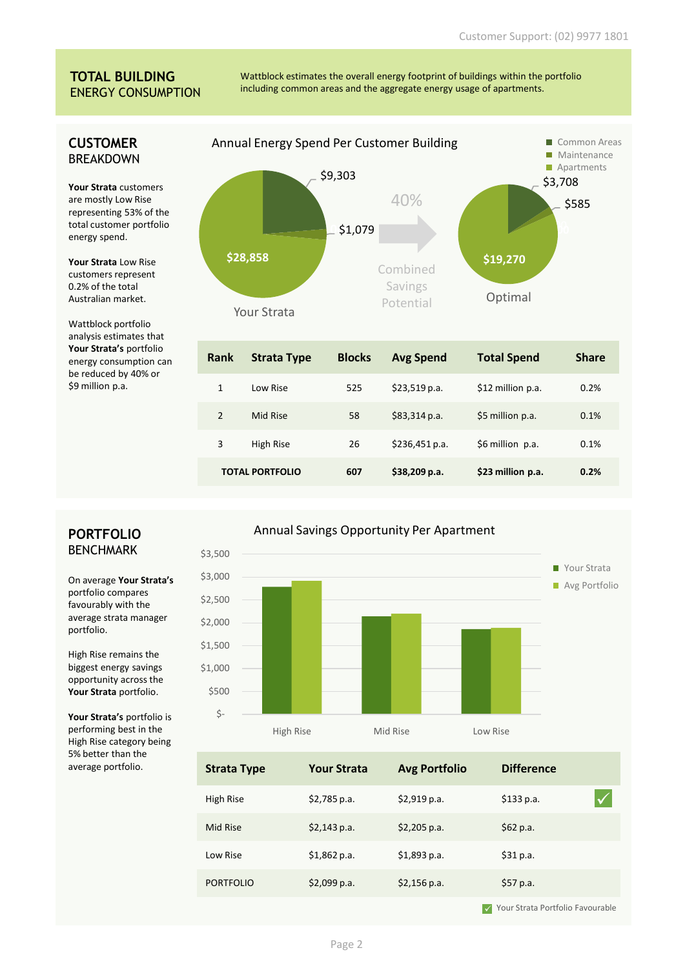#### **TOTAL BUILDING** ENERGY CONSUMPTION

**CUSTOMER BRFAKDOWN** 

are mostly Low Rise

energy spend.

0.2% of the total Australian market.

Wattblock portfolio

energy consumption can be reduced by 40% or \$9 million p.a.

Wattblock estimates the overall energy footprint of buildings within the portfolio including common areas and the aggregate energy usage of apartments.



| <b>Rank</b>    | <b>Strata Type</b>     | <b>Blocks</b> | <b>Avg Spend</b> | <b>Total Spend</b> | <b>Share</b> |
|----------------|------------------------|---------------|------------------|--------------------|--------------|
| 1              | Low Rise               | 525           | \$23,519 p.a.    | \$12 million p.a.  | 0.2%         |
| $\overline{2}$ | Mid Rise               | 58            | \$83,314 p.a.    | \$5 million p.a.   | 0.1%         |
| 3              | High Rise              | 26            | \$236,451 p.a.   | \$6 million p.a.   | 0.1%         |
|                | <b>TOTAL PORTFOLIO</b> | 607           | \$38,209 p.a.    | \$23 million p.a.  | 0.2%         |

### **PORTFOLIO BENCHMARK**

On average **Your Strata's** portfolio compares favourably with the average strata manager portfolio.

\$3,000

\$3,500

High Rise remains the biggest energy savings opportunity across the **Your Strata** portfolio.

**Your Strata's** portfolio is performing best in the High Rise category being 5% better than the average portfolio.

## ■ Your Strata **Avg Portfolio** Annual Savings Opportunity Per Apartment



| <b>Strata Type</b> | <b>Your Strata</b> | <b>Avg Portfolio</b> | <b>Difference</b> |  |
|--------------------|--------------------|----------------------|-------------------|--|
| High Rise          | $$2,785$ p.a.      | $$2,919$ p.a.        | \$133 p.a.        |  |
| Mid Rise           | \$2,143 p.a.       | $$2,205$ p.a.        | \$62 p.a.         |  |
| Low Rise           | \$1,862 p.a.       | \$1,893 p.a.         | \$31 p.a.         |  |
| <b>PORTFOLIO</b>   | $$2,099$ p.a.      | $$2,156$ p.a.        | \$57 p.a.         |  |
|                    |                    |                      |                   |  |

 $\checkmark$  Your Strata Portfolio Favourable